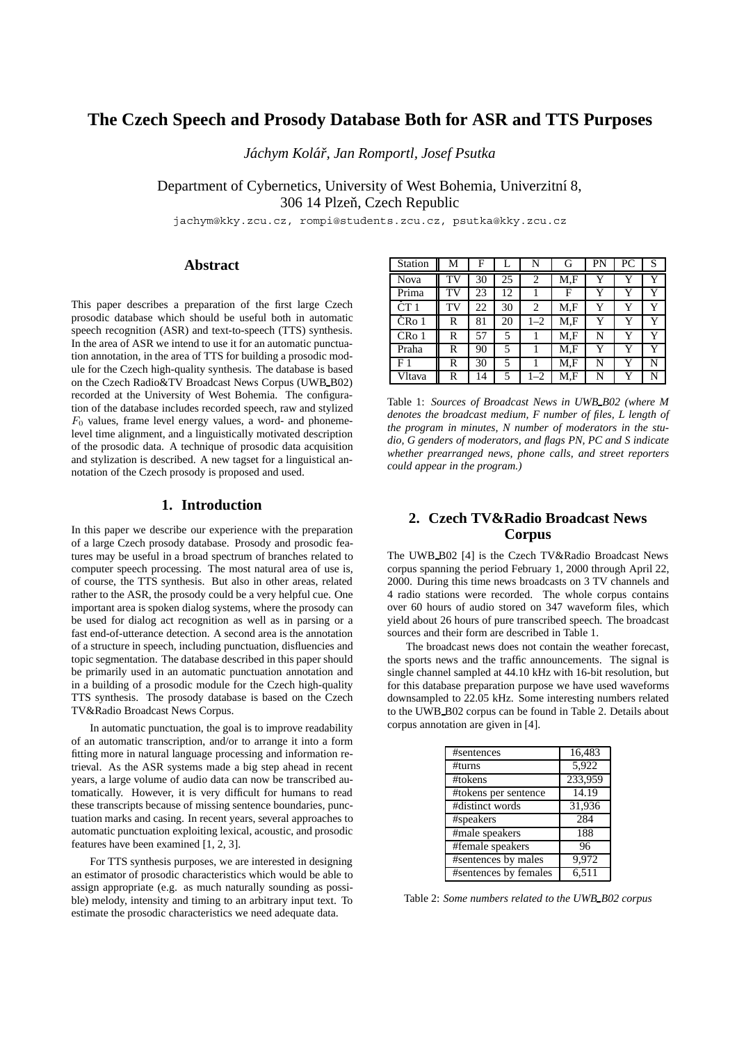# **The Czech Speech and Prosody Database Both for ASR and TTS Purposes**

*Jachym Kol ´ a´r, Jan Romportl, Josef Psutka ˇ*

Department of Cybernetics, University of West Bohemia, Univerzitní 8, 306 14 Plzeň, Czech Republic

jachym@kky.zcu.cz, rompi@students.zcu.cz, psutka@kky.zcu.cz

# **Abstract**

This paper describes a preparation of the first large Czech prosodic database which should be useful both in automatic speech recognition (ASR) and text-to-speech (TTS) synthesis. In the area of ASR we intend to use it for an automatic punctuation annotation, in the area of TTS for building a prosodic module for the Czech high-quality synthesis. The database is based on the Czech Radio&TV Broadcast News Corpus (UWB\_B02) recorded at the University of West Bohemia. The configuration of the database includes recorded speech, raw and stylized  $F_0$  values, frame level energy values, a word- and phonemelevel time alignment, and a linguistically motivated description of the prosodic data. A technique of prosodic data acquisition and stylization is described. A new tagset for a linguistical annotation of the Czech prosody is proposed and used.

## **1. Introduction**

In this paper we describe our experience with the preparation of a large Czech prosody database. Prosody and prosodic features may be useful in a broad spectrum of branches related to computer speech processing. The most natural area of use is, of course, the TTS synthesis. But also in other areas, related rather to the ASR, the prosody could be a very helpful cue. One important area is spoken dialog systems, where the prosody can be used for dialog act recognition as well as in parsing or a fast end-of-utterance detection. A second area is the annotation of a structure in speech, including punctuation, disfluencies and topic segmentation. The database described in this paper should be primarily used in an automatic punctuation annotation and in a building of a prosodic module for the Czech high-quality TTS synthesis. The prosody database is based on the Czech TV&Radio Broadcast News Corpus.

In automatic punctuation, the goal is to improve readability of an automatic transcription, and/or to arrange it into a form fitting more in natural language processing and information retrieval. As the ASR systems made a big step ahead in recent years, a large volume of audio data can now be transcribed automatically. However, it is very difficult for humans to read these transcripts because of missing sentence boundaries, punctuation marks and casing. In recent years, several approaches to automatic punctuation exploiting lexical, acoustic, and prosodic features have been examined [1, 2, 3].

For TTS synthesis purposes, we are interested in designing an estimator of prosodic characteristics which would be able to assign appropriate (e.g. as much naturally sounding as possible) melody, intensity and timing to an arbitrary input text. To estimate the prosodic characteristics we need adequate data.

| <b>Station</b>    | М  | F  |    | N       | G   | PN | РC | S |
|-------------------|----|----|----|---------|-----|----|----|---|
| Nova              | TV | 30 | 25 | 2       | M.F | Y  | Y  | Y |
| Prima             | TV | 23 | 12 |         | F   | Y  | Y  | Y |
| $\tilde{C}T1$     | TV | 22 | 30 | 2       | M.F | Y  | Y  | Y |
| CR <sub>o</sub> 1 | R  | 81 | 20 | $1 - 2$ | M.F | Y  | Y  | Y |
| ČR <sub>0</sub> 1 | R  | 57 | 5  |         | M.F | N  | Y  | Y |
| Praha             | R  | 90 | 5  |         | M.F | Y  | Y  | Y |
| F 1               | R  | 30 | 5  |         | M.F | N  | Y  | N |
| Vltava            | R  | 14 | 5. | $1 - 2$ | M.F | N  | v  | N |

Table 1: *Sources of Broadcast News in UWB B02 (where M denotes the broadcast medium, F number of files, L length of the program in minutes, N number of moderators in the studio, G genders of moderators, and flags PN, PC and S indicate whether prearranged news, phone calls, and street reporters could appear in the program.)*

# **2. Czech TV&Radio Broadcast News Corpus**

The UWB B02 [4] is the Czech TV&Radio Broadcast News corpus spanning the period February 1, 2000 through April 22, 2000. During this time news broadcasts on 3 TV channels and 4 radio stations were recorded. The whole corpus contains over 60 hours of audio stored on 347 waveform files, which yield about 26 hours of pure transcribed speech. The broadcast sources and their form are described in Table 1.

The broadcast news does not contain the weather forecast, the sports news and the traffic announcements. The signal is single channel sampled at 44.10 kHz with 16-bit resolution, but for this database preparation purpose we have used waveforms downsampled to 22.05 kHz. Some interesting numbers related to the UWB B02 corpus can be found in Table 2. Details about corpus annotation are given in [4].

| #sentences            | 16,483             |
|-----------------------|--------------------|
| #turns                | 5,922              |
| #tokens               | 233,959            |
| #tokens per sentence  | $\overline{1}4.19$ |
| #distinct words       | 31,936             |
| #speakers             | 284                |
| #male speakers        | 188                |
| #female speakers      | 96                 |
| #sentences by males   | 9,972              |
| #sentences by females | 6,511              |

Table 2: *Some numbers related to the UWB B02 corpus*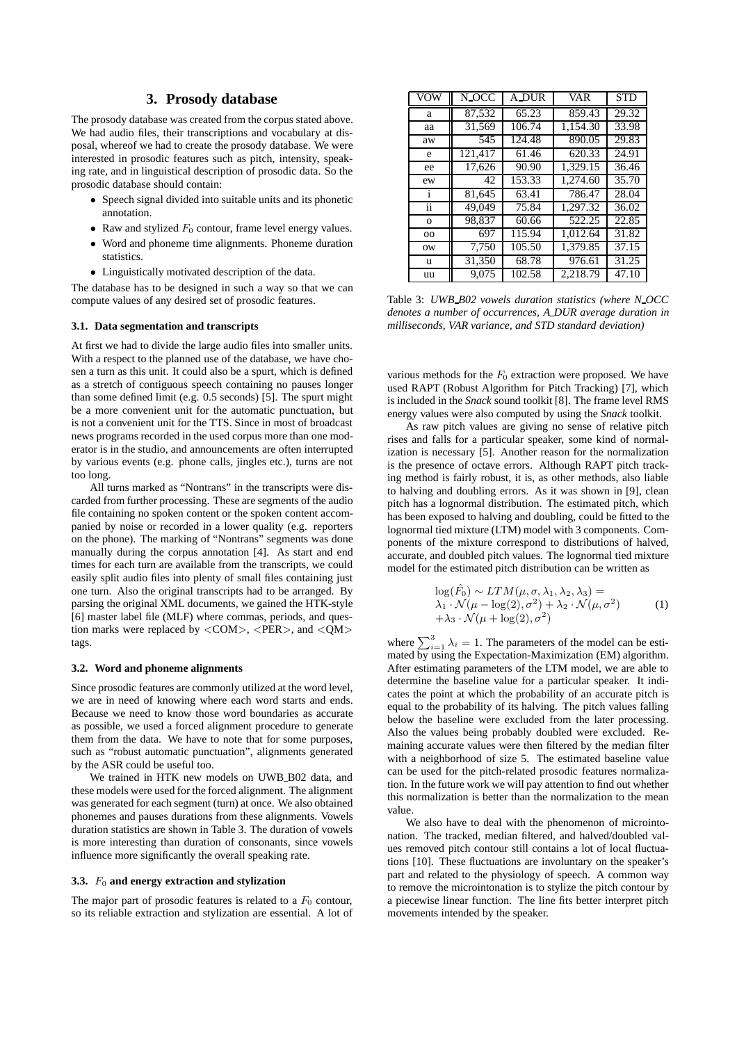# **3. Prosody database**

The prosody database was created from the corpus stated above. We had audio files, their transcriptions and vocabulary at disposal, whereof we had to create the prosody database. We were interested in prosodic features such as pitch, intensity, speaking rate, and in linguistical description of prosodic data. So the prosodic database should contain:

- Speech signal divided into suitable units and its phonetic annotation.
- Raw and stylized  $F_0$  contour, frame level energy values.
- Word and phoneme time alignments. Phoneme duration statistics.
- Linguistically motivated description of the data.

The database has to be designed in such a way so that we can compute values of any desired set of prosodic features.

## **3.1. Data segmentation and transcripts**

At first we had to divide the large audio files into smaller units. With a respect to the planned use of the database, we have chosen a turn as this unit. It could also be a spurt, which is defined as a stretch of contiguous speech containing no pauses longer than some defined limit (e.g. 0.5 seconds) [5]. The spurt might be a more convenient unit for the automatic punctuation, but is not a convenient unit for the TTS. Since in most of broadcast news programs recorded in the used corpus more than one moderator is in the studio, and announcements are often interrupted by various events (e.g. phone calls, jingles etc.), turns are not too long.

All turns marked as "Nontrans" in the transcripts were discarded from further processing. These are segments of the audio file containing no spoken content or the spoken content accompanied by noise or recorded in a lower quality (e.g. reporters on the phone). The marking of "Nontrans" segments was done manually during the corpus annotation [4]. As start and end times for each turn are available from the transcripts, we could easily split audio files into plenty of small files containing just one turn. Also the original transcripts had to be arranged. By parsing the original XML documents, we gained the HTK-style [6] master label file (MLF) where commas, periods, and question marks were replaced by <COM>, <PER>, and <QM> tags.

### **3.2. Word and phoneme alignments**

Since prosodic features are commonly utilized at the word level, we are in need of knowing where each word starts and ends. Because we need to know those word boundaries as accurate as possible, we used a forced alignment procedure to generate them from the data. We have to note that for some purposes, such as "robust automatic punctuation", alignments generated by the ASR could be useful too.

We trained in HTK new models on UWB B02 data, and these models were used for the forced alignment. The alignment was generated for each segment (turn) at once. We also obtained phonemes and pauses durations from these alignments. Vowels duration statistics are shown in Table 3. The duration of vowels is more interesting than duration of consonants, since vowels influence more significantly the overall speaking rate.

#### **3.3.**  $F_0$  **and energy extraction and stylization**

The major part of prosodic features is related to a  $F_0$  contour, so its reliable extraction and stylization are essential. A lot of

| VOW           | N_OCC   | <b>A_DUR</b> | VAR      | <b>STD</b> |
|---------------|---------|--------------|----------|------------|
| a             | 87.532  | 65.23        | 859.43   | 29.32      |
| aa            | 31,569  | 106.74       | 1.154.30 | 33.98      |
| aw            | 545     | 124.48       | 890.05   | 29.83      |
| e             | 121,417 | 61.46        | 620.33   | 24.91      |
| ee            | 17.626  | 90.90        | 1,329.15 | 36.46      |
| ew            | 42      | 153.33       | 1.274.60 | 35.70      |
| i             | 81,645  | 63.41        | 786.47   | 28.04      |
| $\cdot$<br>11 | 49.049  | 75.84        | 1,297.32 | 36.02      |
| $\mathbf{o}$  | 98.837  | 60.66        | 522.25   | 22.85      |
| 00            | 697     | 115.94       | 1.012.64 | 31.82      |
| ow            | 7,750   | 105.50       | 1,379.85 | 37.15      |
| u             | 31,350  | 68.78        | 976.61   | 31.25      |
| uu            | 9.075   | 102.58       | 2.218.79 | 47.10      |

Table 3: *UWB B02 vowels duration statistics (where N OCC denotes a number of occurrences, A DUR average duration in milliseconds, VAR variance, and STD standard deviation)*

various methods for the  $F_0$  extraction were proposed. We have used RAPT (Robust Algorithm for Pitch Tracking) [7], which is included in the *Snack* sound toolkit [8]. The frame level RMS energy values were also computed by using the *Snack* toolkit.

As raw pitch values are giving no sense of relative pitch rises and falls for a particular speaker, some kind of normalization is necessary [5]. Another reason for the normalization is the presence of octave errors. Although RAPT pitch tracking method is fairly robust, it is, as other methods, also liable to halving and doubling errors. As it was shown in [9], clean pitch has a lognormal distribution. The estimated pitch, which has been exposed to halving and doubling, could be fitted to the lognormal tied mixture (LTM) model with 3 components. Components of the mixture correspond to distributions of halved, accurate, and doubled pitch values. The lognormal tied mixture model for the estimated pitch distribution can be written as

$$
\log(\hat{F}_0) \sim LTM(\mu, \sigma, \lambda_1, \lambda_2, \lambda_3) = \lambda_1 \cdot \mathcal{N}(\mu - \log(2), \sigma^2) + \lambda_2 \cdot \mathcal{N}(\mu, \sigma^2) + \lambda_3 \cdot \mathcal{N}(\mu + \log(2), \sigma^2)
$$
 (1)

where  $\sum_{i=1}^{3} \lambda_i = 1$ . The parameters of the model can be estimated by using the Expectation-Maximization (EM) algorithm mated by using the Expectation-Maximization (EM) algorithm. After estimating parameters of the LTM model, we are able to determine the baseline value for a particular speaker. It indicates the point at which the probability of an accurate pitch is equal to the probability of its halving. The pitch values falling below the baseline were excluded from the later processing. Also the values being probably doubled were excluded. Remaining accurate values were then filtered by the median filter with a neighborhood of size 5. The estimated baseline value can be used for the pitch-related prosodic features normalization. In the future work we will pay attention to find out whether this normalization is better than the normalization to the mean value.

We also have to deal with the phenomenon of microintonation. The tracked, median filtered, and halved/doubled values removed pitch contour still contains a lot of local fluctuations [10]. These fluctuations are involuntary on the speaker's part and related to the physiology of speech. A common way to remove the microintonation is to stylize the pitch contour by a piecewise linear function. The line fits better interpret pitch movements intended by the speaker.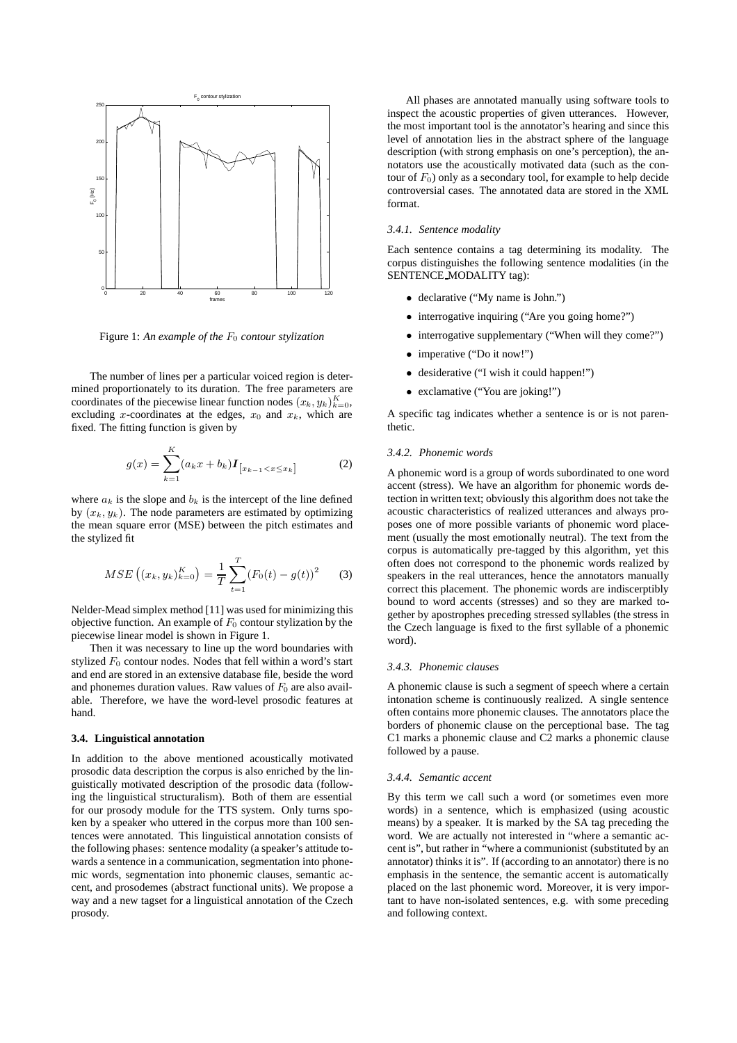

Figure 1: An example of the  $F_0$  contour stylization

The number of lines per a particular voiced region is determined proportionately to its duration. The free parameters are coordinates of the piecewise linear function nodes  $(x_k, y_k)_{k=0}^K$ ,<br>excluding x-coordinates at the edges  $x_0$  and  $x_i$ , which are excluding x-coordinates at the edges,  $x_0$  and  $x_k$ , which are fixed. The fitting function is given by

$$
g(x) = \sum_{k=1}^{K} (a_k x + b_k) I_{[x_{k-1} < x \le x_k]} \tag{2}
$$

where  $a_k$  is the slope and  $b_k$  is the intercept of the line defined by  $(x_k, y_k)$ . The node parameters are estimated by optimizing the mean square error (MSE) between the pitch estimates and the stylized fit

$$
MSE\left((x_k, y_k)_{k=0}^K\right) = \frac{1}{T} \sum_{t=1}^T (F_0(t) - g(t))^2 \tag{3}
$$

Nelder-Mead simplex method [11] was used for minimizing this objective function. An example of  $F_0$  contour stylization by the piecewise linear model is shown in Figure 1.

Then it was necessary to line up the word boundaries with stylized  $F_0$  contour nodes. Nodes that fell within a word's start and end are stored in an extensive database file, beside the word and phonemes duration values. Raw values of  $F_0$  are also available. Therefore, we have the word-level prosodic features at hand.

#### **3.4. Linguistical annotation**

In addition to the above mentioned acoustically motivated prosodic data description the corpus is also enriched by the linguistically motivated description of the prosodic data (following the linguistical structuralism). Both of them are essential for our prosody module for the TTS system. Only turns spoken by a speaker who uttered in the corpus more than 100 sentences were annotated. This linguistical annotation consists of the following phases: sentence modality (a speaker's attitude towards a sentence in a communication, segmentation into phonemic words, segmentation into phonemic clauses, semantic accent, and prosodemes (abstract functional units). We propose a way and a new tagset for a linguistical annotation of the Czech prosody.

All phases are annotated manually using software tools to inspect the acoustic properties of given utterances. However, the most important tool is the annotator's hearing and since this level of annotation lies in the abstract sphere of the language description (with strong emphasis on one's perception), the annotators use the acoustically motivated data (such as the contour of  $F_0$ ) only as a secondary tool, for example to help decide controversial cases. The annotated data are stored in the XML format.

### *3.4.1. Sentence modality*

Each sentence contains a tag determining its modality. The corpus distinguishes the following sentence modalities (in the SENTENCE MODALITY tag):

- declarative ("My name is John.")
- interrogative inquiring ("Are you going home?")
- interrogative supplementary ("When will they come?")
- imperative ("Do it now!")
- desiderative ("I wish it could happen!")
- exclamative ("You are joking!")

A specific tag indicates whether a sentence is or is not parenthetic.

## *3.4.2. Phonemic words*

A phonemic word is a group of words subordinated to one word accent (stress). We have an algorithm for phonemic words detection in written text; obviously this algorithm does not take the acoustic characteristics of realized utterances and always proposes one of more possible variants of phonemic word placement (usually the most emotionally neutral). The text from the corpus is automatically pre-tagged by this algorithm, yet this often does not correspond to the phonemic words realized by speakers in the real utterances, hence the annotators manually correct this placement. The phonemic words are indiscerptibly bound to word accents (stresses) and so they are marked together by apostrophes preceding stressed syllables (the stress in the Czech language is fixed to the first syllable of a phonemic word).

### *3.4.3. Phonemic clauses*

A phonemic clause is such a segment of speech where a certain intonation scheme is continuously realized. A single sentence often contains more phonemic clauses. The annotators place the borders of phonemic clause on the perceptional base. The tag C1 marks a phonemic clause and C2 marks a phonemic clause followed by a pause.

#### *3.4.4. Semantic accent*

By this term we call such a word (or sometimes even more words) in a sentence, which is emphasized (using acoustic means) by a speaker. It is marked by the SA tag preceding the word. We are actually not interested in "where a semantic accent is", but rather in "where a communionist (substituted by an annotator) thinks it is". If (according to an annotator) there is no emphasis in the sentence, the semantic accent is automatically placed on the last phonemic word. Moreover, it is very important to have non-isolated sentences, e.g. with some preceding and following context.